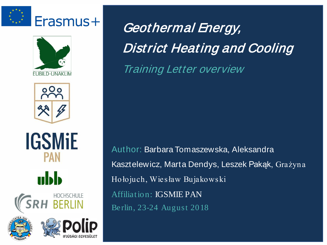





**IGSMiE** 

**PAN** 

Author: Barbara Tomaszewska, Aleksandra Kasztelewicz, Marta Dendys, Leszek Pakąk, Grażyna Hołojuch, Wiesław Bujakowski Affiliation: IGSMIE PAN Berlin, 23-24 August 2018

Geothermal Energy, District Heating and Cooling

Training Letter overview





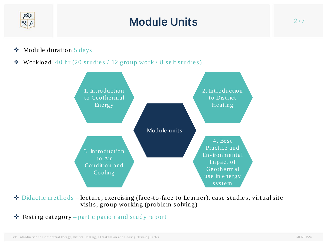

#### Module Units

- $\triangleleft$  Module duration 5 days
- $\bullet$  Workload 40 hr (20 studies / 12 group work / 8 self studies)



 Didactic methods – lecture , exercising (face -to-face to Learner), case studies, virtual site visits, group working (problem solving)

Testing category – participation and study report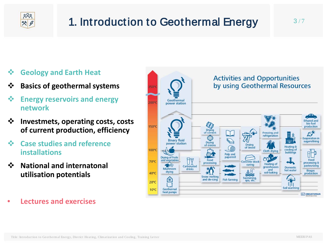

### 1. Introduction to Geothermal Energy

#### **Geology and Earth Heat**

- **Basics of geothermal systems**
- **Energy reservoirs and energy network**
- **Investmets, operating costs, costs of current production, efficiency**
- **Case studies and reference installations**
- **National and internatonal utilisation potentials**
- **Lectures and exercises**

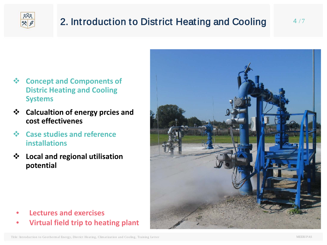![](_page_3_Picture_0.jpeg)

#### 2. Introduction to District Heating and Cooling

- **Concept and Components of Distric Heating and Cooling Systems**
- **Calcualtion of energy prcies and cost effectivenes**
- **Case studies and reference installations**
- **Local and regional utilisation potential**

![](_page_3_Picture_6.jpeg)

- **Lectures and exercises**
- **Virtual field trip to heating plant**

4 /7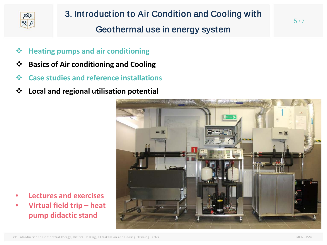![](_page_4_Picture_0.jpeg)

- **Heating pumps and air conditioning**
- **Basics of Air conditioning and Cooling**
- **Case studies and reference installations**
- **Local and regional utilisation potential**

![](_page_4_Picture_6.jpeg)

- **Lectures and exercises**
- **Virtual field trip – heat pump didactic stand**

5 /7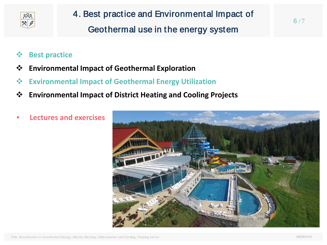![](_page_5_Figure_0.jpeg)

- 4. Best practice and Environmental Impact of Geothermal use in the energy system
- **Best practice**
- **Environmental Impact of Geothermal Exploration**
- **Exvironmental Impact of Geothermal Energy Utilization**
- **Environmental Impact of District Heating and Cooling Projects**
- **Lectures and exercises**

![](_page_5_Picture_7.jpeg)

6 /7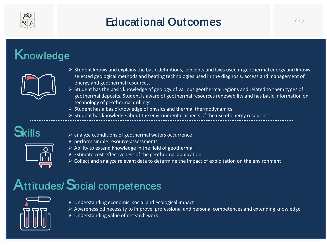![](_page_6_Picture_0.jpeg)

### Educational Outcomes

# Knowledge

![](_page_6_Picture_4.jpeg)

- $\triangleright$  Student knows and explains the basic definitions, concepts and laws used in geothermal energy and knows selected geological methods and heating technologies used in the diagnosis, access and management of energy and geothermal resources.
- $\triangleright$  Student has the basic knowledge of geology of various geothermal regions and related to them types of geothermal deposits. Student is aware of geothermal resources renewability and has basic information on technology of geothermal drillings.
- $\triangleright$  Student has a basic knowledge of physics and thermal thermodynamics.
- $\triangleright$  Student has knowledge about the environmental aspects of the use of energy resources.

#### Skills

- $\triangleright$  analyze cconditions of geothermal waters occurrence
- $\triangleright$  perform simple resource assessments
- $\triangleright$  Ability to extend knowledge in the field of geothermal
- $\triangleright$  Estimate cost-effectiveness of the geothermal application
- $\triangleright$  Collect and analyze relevant data to determine the impact of exploitation on the environment

## Attitudes/Social competences

![](_page_6_Picture_16.jpeg)

- $\triangleright$  Understanding economic, social and ecological impact
- $\triangleright$  Awareness od necessity to improve professional and personal competences and extending knowledge
- Understanding value of research work